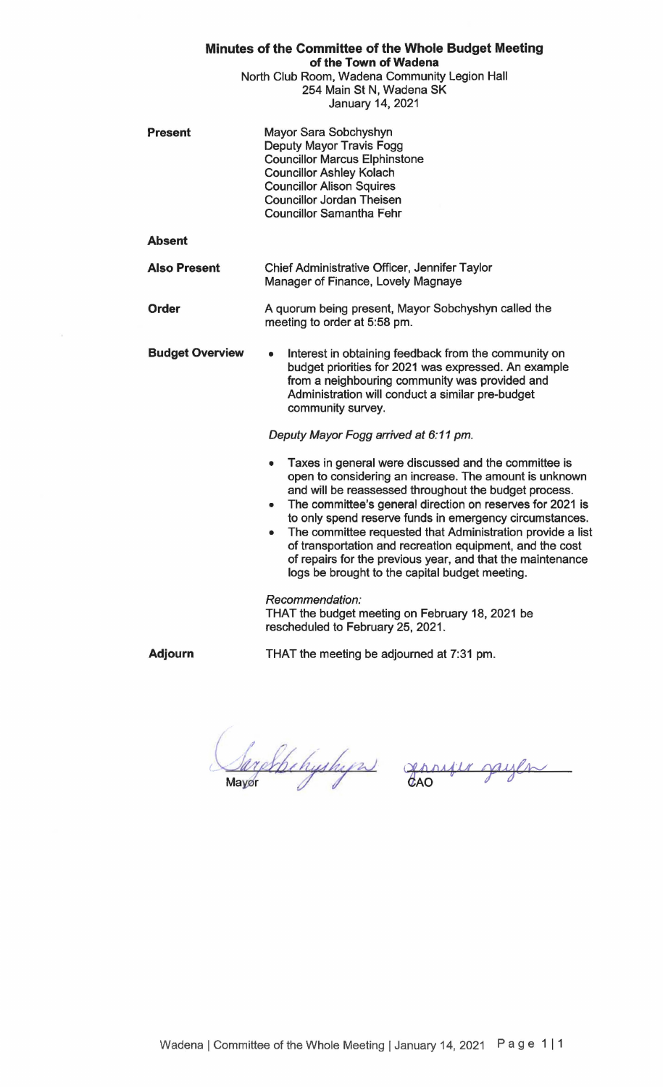| Minutes of the Committee of the Whole Budget Meeting<br>of the Town of Wadena<br>North Club Room, Wadena Community Legion Hall<br>254 Main St N, Wadena SK<br>January 14, 2021 |                                                                                                                                                                                                                                                                                                                                                                                                                                                                                                                                                     |
|--------------------------------------------------------------------------------------------------------------------------------------------------------------------------------|-----------------------------------------------------------------------------------------------------------------------------------------------------------------------------------------------------------------------------------------------------------------------------------------------------------------------------------------------------------------------------------------------------------------------------------------------------------------------------------------------------------------------------------------------------|
| <b>Present</b>                                                                                                                                                                 | Mayor Sara Sobchyshyn<br>Deputy Mayor Travis Fogg<br><b>Councillor Marcus Elphinstone</b><br><b>Councillor Ashley Kolach</b><br><b>Councillor Alison Squires</b><br><b>Councillor Jordan Theisen</b><br><b>Councillor Samantha Fehr</b>                                                                                                                                                                                                                                                                                                             |
| <b>Absent</b>                                                                                                                                                                  |                                                                                                                                                                                                                                                                                                                                                                                                                                                                                                                                                     |
| <b>Also Present</b>                                                                                                                                                            | Chief Administrative Officer, Jennifer Taylor<br>Manager of Finance, Lovely Magnaye                                                                                                                                                                                                                                                                                                                                                                                                                                                                 |
| Order                                                                                                                                                                          | A quorum being present, Mayor Sobchyshyn called the<br>meeting to order at 5:58 pm.                                                                                                                                                                                                                                                                                                                                                                                                                                                                 |
| <b>Budget Overview</b>                                                                                                                                                         | Interest in obtaining feedback from the community on<br>۰<br>budget priorities for 2021 was expressed. An example<br>from a neighbouring community was provided and<br>Administration will conduct a similar pre-budget<br>community survey.                                                                                                                                                                                                                                                                                                        |
|                                                                                                                                                                                | Deputy Mayor Fogg arrived at 6:11 pm.                                                                                                                                                                                                                                                                                                                                                                                                                                                                                                               |
|                                                                                                                                                                                | Taxes in general were discussed and the committee is<br>۰<br>open to considering an increase. The amount is unknown<br>and will be reassessed throughout the budget process.<br>The committee's general direction on reserves for 2021 is<br>۰<br>to only spend reserve funds in emergency circumstances.<br>The committee requested that Administration provide a list<br>of transportation and recreation equipment, and the cost<br>of repairs for the previous year, and that the maintenance<br>logs be brought to the capital budget meeting. |
|                                                                                                                                                                                | Recommendation:<br>THAT the budget meeting on February 18, 2021 be<br>rescheduled to February 25, 2021.                                                                                                                                                                                                                                                                                                                                                                                                                                             |

**Adjourn** 

THAT the meeting be adjourned at 7:31 pm.

Sarchbehyshyn gansju gayln